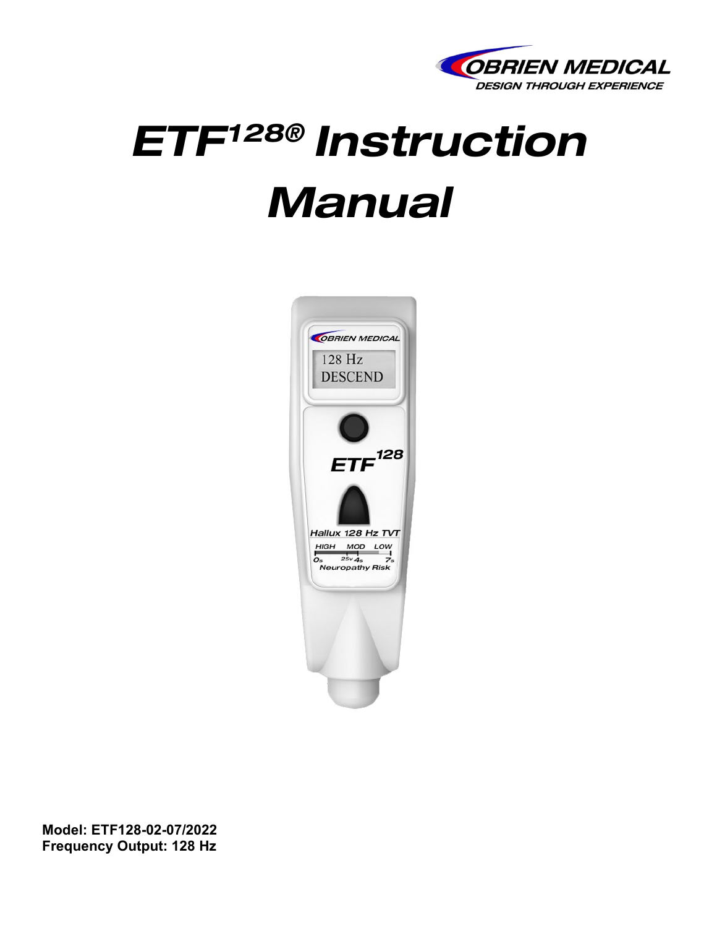

# *ETF128® Instruction Manual*



**Model: ETF128-02-07/2022 Frequency Output: 128 Hz**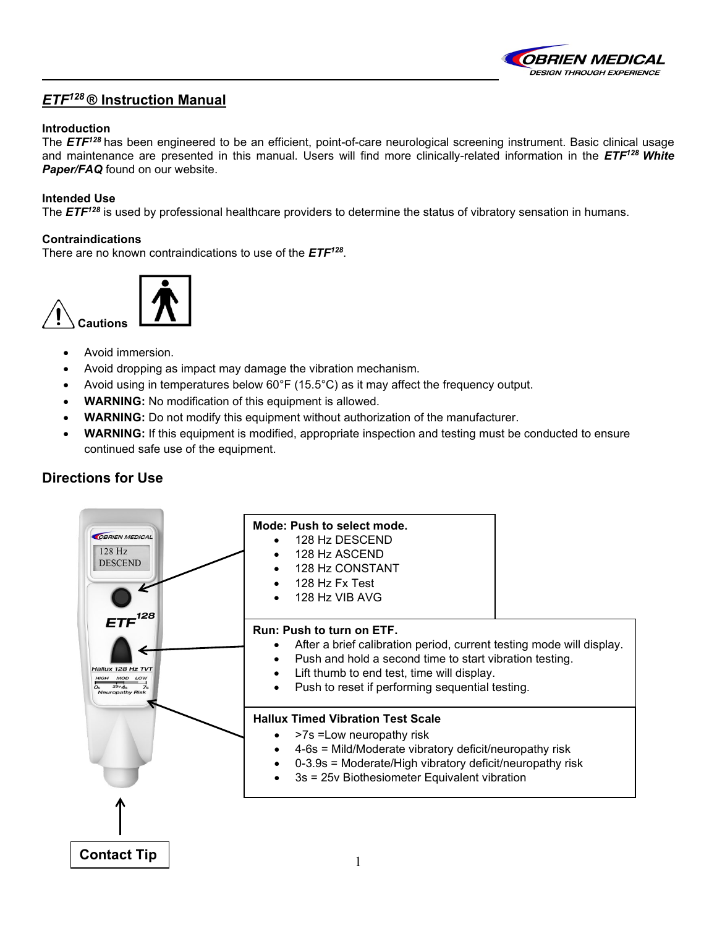

#### *ETF128* **® Instruction Manual**

#### **Introduction**

The *ETF128* has been engineered to be an efficient, point-of-care neurological screening instrument. Basic clinical usage and maintenance are presented in this manual. Users will find more clinically-related information in the *ETF128 White Paper/FAQ* found on our website.

#### **Intended Use**

The **ETF<sup>128</sup>** is used by professional healthcare providers to determine the status of vibratory sensation in humans.

#### **Contraindications**

There are no known contraindications to use of the *ETF128*.



- Avoid immersion.
- Avoid dropping as impact may damage the vibration mechanism.
- Avoid using in temperatures below 60°F (15.5°C) as it may affect the frequency output.
- **WARNING:** No modification of this equipment is allowed.
- **WARNING:** Do not modify this equipment without authorization of the manufacturer.
- **WARNING:** If this equipment is modified, appropriate inspection and testing must be conducted to ensure continued safe use of the equipment.

#### **Directions for Use**

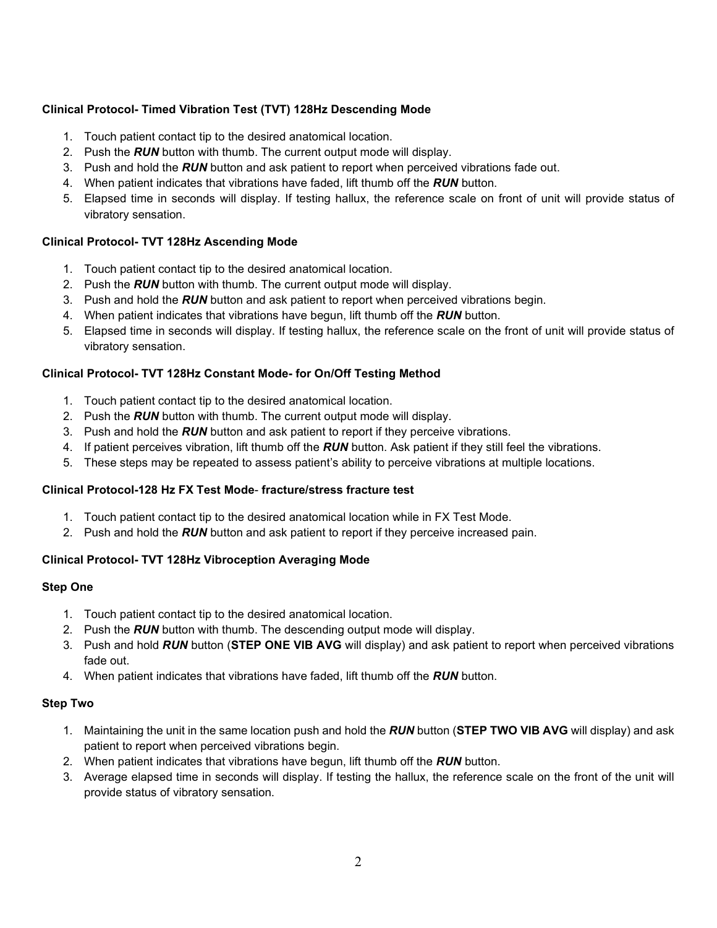#### **Clinical Protocol- Timed Vibration Test (TVT) 128Hz Descending Mode**

- 1. Touch patient contact tip to the desired anatomical location.
- 2. Push the *RUN* button with thumb. The current output mode will display.
- 3. Push and hold the *RUN* button and ask patient to report when perceived vibrations fade out.
- 4. When patient indicates that vibrations have faded, lift thumb off the *RUN* button.
- 5. Elapsed time in seconds will display. If testing hallux, the reference scale on front of unit will provide status of vibratory sensation.

#### **Clinical Protocol- TVT 128Hz Ascending Mode**

- 1. Touch patient contact tip to the desired anatomical location.
- 2. Push the *RUN* button with thumb. The current output mode will display.
- 3. Push and hold the *RUN* button and ask patient to report when perceived vibrations begin.
- 4. When patient indicates that vibrations have begun, lift thumb off the *RUN* button.
- 5. Elapsed time in seconds will display. If testing hallux, the reference scale on the front of unit will provide status of vibratory sensation.

#### **Clinical Protocol- TVT 128Hz Constant Mode- for On/Off Testing Method**

- 1. Touch patient contact tip to the desired anatomical location.
- 2. Push the *RUN* button with thumb. The current output mode will display.
- 3. Push and hold the *RUN* button and ask patient to report if they perceive vibrations.
- 4. If patient perceives vibration, lift thumb off the *RUN* button. Ask patient if they still feel the vibrations.
- 5. These steps may be repeated to assess patient's ability to perceive vibrations at multiple locations.

#### **Clinical Protocol-128 Hz FX Test Mode**- **fracture/stress fracture test**

- 1. Touch patient contact tip to the desired anatomical location while in FX Test Mode.
- 2. Push and hold the *RUN* button and ask patient to report if they perceive increased pain.

#### **Clinical Protocol- TVT 128Hz Vibroception Averaging Mode**

#### **Step One**

- 1. Touch patient contact tip to the desired anatomical location.
- 2. Push the *RUN* button with thumb. The descending output mode will display.
- 3. Push and hold *RUN* button (**STEP ONE VIB AVG** will display) and ask patient to report when perceived vibrations fade out.
- 4. When patient indicates that vibrations have faded, lift thumb off the *RUN* button.

#### **Step Two**

- 1. Maintaining the unit in the same location push and hold the *RUN* button (**STEP TWO VIB AVG** will display) and ask patient to report when perceived vibrations begin.
- 2. When patient indicates that vibrations have begun, lift thumb off the *RUN* button.
- 3. Average elapsed time in seconds will display. If testing the hallux, the reference scale on the front of the unit will provide status of vibratory sensation.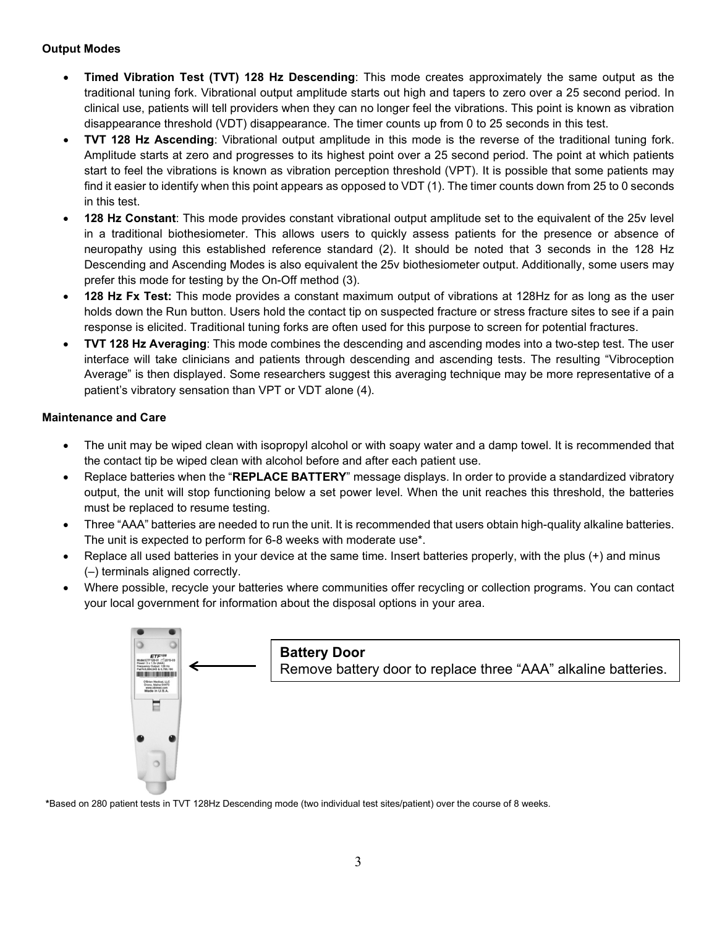#### **Output Modes**

- **Timed Vibration Test (TVT) 128 Hz Descending**: This mode creates approximately the same output as the traditional tuning fork. Vibrational output amplitude starts out high and tapers to zero over a 25 second period. In clinical use, patients will tell providers when they can no longer feel the vibrations. This point is known as vibration disappearance threshold (VDT) disappearance. The timer counts up from 0 to 25 seconds in this test.
- **TVT 128 Hz Ascending**: Vibrational output amplitude in this mode is the reverse of the traditional tuning fork. Amplitude starts at zero and progresses to its highest point over a 25 second period. The point at which patients start to feel the vibrations is known as vibration perception threshold (VPT). It is possible that some patients may find it easier to identify when this point appears as opposed to VDT (1). The timer counts down from 25 to 0 seconds in this test.
- **128 Hz Constant**: This mode provides constant vibrational output amplitude set to the equivalent of the 25v level in a traditional biothesiometer. This allows users to quickly assess patients for the presence or absence of neuropathy using this established reference standard (2). It should be noted that 3 seconds in the 128 Hz Descending and Ascending Modes is also equivalent the 25v biothesiometer output. Additionally, some users may prefer this mode for testing by the On-Off method (3).
- **128 Hz Fx Test:** This mode provides a constant maximum output of vibrations at 128Hz for as long as the user holds down the Run button. Users hold the contact tip on suspected fracture or stress fracture sites to see if a pain response is elicited. Traditional tuning forks are often used for this purpose to screen for potential fractures.
- **TVT 128 Hz Averaging**: This mode combines the descending and ascending modes into a two-step test. The user interface will take clinicians and patients through descending and ascending tests. The resulting "Vibroception Average" is then displayed. Some researchers suggest this averaging technique may be more representative of a patient's vibratory sensation than VPT or VDT alone (4).

#### **Maintenance and Care**

- The unit may be wiped clean with isopropyl alcohol or with soapy water and a damp towel. It is recommended that the contact tip be wiped clean with alcohol before and after each patient use.
- Replace batteries when the "**REPLACE BATTERY**" message displays. In order to provide a standardized vibratory output, the unit will stop functioning below a set power level. When the unit reaches this threshold, the batteries must be replaced to resume testing.
- Three "AAA" batteries are needed to run the unit. It is recommended that users obtain high-quality alkaline batteries. The unit is expected to perform for 6-8 weeks with moderate use\*.
- Replace all used batteries in your device at the same time. Insert batteries properly, with the plus (+) and minus (–) terminals aligned correctly.
- Where possible, recycle your batteries where communities offer recycling or collection programs. You can contact your local government for information about the disposal options in your area.



**\***Based on 280 patient tests in TVT 128Hz Descending mode (two individual test sites/patient) over the course of 8 weeks.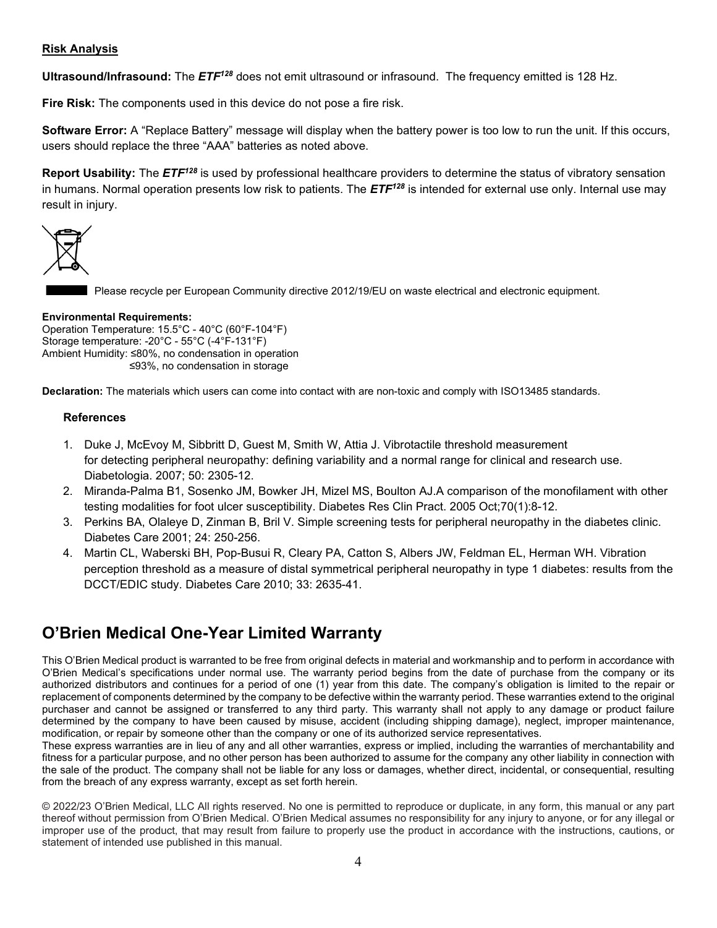#### **Risk Analysis**

**Ultrasound/Infrasound:** The *ETF128* does not emit ultrasound or infrasound. The frequency emitted is 128 Hz.

**Fire Risk:** The components used in this device do not pose a fire risk.

**Software Error:** A "Replace Battery" message will display when the battery power is too low to run the unit. If this occurs, users should replace the three "AAA" batteries as noted above.

**Report Usability:** The *ETF128* is used by professional healthcare providers to determine the status of vibratory sensation in humans. Normal operation presents low risk to patients. The *ETF128* is intended for external use only. Internal use may result in injury.



Please recycle per European Community directive 2012/19/EU on waste electrical and electronic equipment.

#### **Environmental Requirements:**

Operation Temperature: 15.5°C - 40°C (60°F-104°F) Storage temperature: -20°C - 55°C (-4°F-131°F) Ambient Humidity: ≤80%, no condensation in operation ≤93%, no condensation in storage

**Declaration:** The materials which users can come into contact with are non-toxic and comply with ISO13485 standards.

#### **References**

- 1. [Duke J,](http://www.ncbi.nlm.nih.gov/pubmed?term=Duke%20J%5BAuthor%5D&cauthor=true&cauthor_uid=17846743) [McEvoy M,](http://www.ncbi.nlm.nih.gov/pubmed?term=McEvoy%20M%5BAuthor%5D&cauthor=true&cauthor_uid=17846743) [Sibbritt D,](http://www.ncbi.nlm.nih.gov/pubmed?term=Sibbritt%20D%5BAuthor%5D&cauthor=true&cauthor_uid=17846743) [Guest M,](http://www.ncbi.nlm.nih.gov/pubmed?term=Guest%20M%5BAuthor%5D&cauthor=true&cauthor_uid=17846743) [Smith W,](http://www.ncbi.nlm.nih.gov/pubmed?term=Smith%20W%5BAuthor%5D&cauthor=true&cauthor_uid=17846743) [Attia J.](http://www.ncbi.nlm.nih.gov/pubmed?term=Attia%20J%5BAuthor%5D&cauthor=true&cauthor_uid=17846743) Vibrotactile threshold measurement for detecting peripheral neuropathy: defining variability and a normal range for clinical and research use. [Diabetologia.](http://www.ncbi.nlm.nih.gov/pubmed/?term=Vibrotactile+threshold+measurement+for+detecting+peripheral+neuropathy%3A+defining+variability+and+a+normal+range+for+clinical+and+research+use) 2007; 50: 2305-12.
- 2. [Miranda-Palma B1](http://www.ncbi.nlm.nih.gov/pubmed/?term=Miranda-Palma%20B%5BAuthor%5D&cauthor=true&cauthor_uid=16126117), [Sosenko JM,](http://www.ncbi.nlm.nih.gov/pubmed/?term=Sosenko%20JM%5BAuthor%5D&cauthor=true&cauthor_uid=16126117) [Bowker JH,](http://www.ncbi.nlm.nih.gov/pubmed/?term=Bowker%20JH%5BAuthor%5D&cauthor=true&cauthor_uid=16126117) [Mizel MS,](http://www.ncbi.nlm.nih.gov/pubmed/?term=Mizel%20MS%5BAuthor%5D&cauthor=true&cauthor_uid=16126117) [Boulton AJ.](http://www.ncbi.nlm.nih.gov/pubmed/?term=Boulton%20AJ%5BAuthor%5D&cauthor=true&cauthor_uid=16126117)A comparison of the monofilament with other testing modalities for foot ulcer susceptibility. [Diabetes Res Clin Pract.](http://www.ncbi.nlm.nih.gov/pubmed/?term=A+comparison+of+the+monofilament+with+other+testing+modalities+for+foot+ulcer+susceptibility+B.+Miranda-Palma+a%2C+J.M.+Sosenko+a%2C*%2C+J.H.+Bowker+b%2C+M.S.+Mizel+b%2C+A.J.M.+Boulton+a) 2005 Oct;70(1):8-12.
- 3. Perkins BA, Olaleye D, Zinman B, Bril V. Simple screening tests for peripheral neuropathy in the diabetes clinic. Diabetes Care 2001; 24: 250-256.
- 4. [Martin CL,](http://www.ncbi.nlm.nih.gov/pubmed?term=Martin%20CL%5BAuthor%5D&cauthor=true&cauthor_uid=20833868) [Waberski BH,](http://www.ncbi.nlm.nih.gov/pubmed?term=Waberski%20BH%5BAuthor%5D&cauthor=true&cauthor_uid=20833868) [Pop-Busui R,](http://www.ncbi.nlm.nih.gov/pubmed?term=Pop-Busui%20R%5BAuthor%5D&cauthor=true&cauthor_uid=20833868) [Cleary PA,](http://www.ncbi.nlm.nih.gov/pubmed?term=Cleary%20PA%5BAuthor%5D&cauthor=true&cauthor_uid=20833868) [Catton S,](http://www.ncbi.nlm.nih.gov/pubmed?term=Catton%20S%5BAuthor%5D&cauthor=true&cauthor_uid=20833868) [Albers JW,](http://www.ncbi.nlm.nih.gov/pubmed?term=Albers%20JW%5BAuthor%5D&cauthor=true&cauthor_uid=20833868) [Feldman EL,](http://www.ncbi.nlm.nih.gov/pubmed?term=Feldman%20EL%5BAuthor%5D&cauthor=true&cauthor_uid=20833868) [Herman WH.](http://www.ncbi.nlm.nih.gov/pubmed?term=Herman%20WH%5BAuthor%5D&cauthor=true&cauthor_uid=20833868) Vibration perception threshold as a measure of distal symmetrical peripheral neuropathy in type 1 diabetes: results from the DCCT/EDIC study. Diabetes Care 2010; 33: 2635-41.

### **O'Brien Medical One-Year Limited Warranty**

This O'Brien Medical product is warranted to be free from original defects in material and workmanship and to perform in accordance with O'Brien Medical's specifications under normal use. The warranty period begins from the date of purchase from the company or its authorized distributors and continues for a period of one (1) year from this date. The company's obligation is limited to the repair or replacement of components determined by the company to be defective within the warranty period. These warranties extend to the original purchaser and cannot be assigned or transferred to any third party. This warranty shall not apply to any damage or product failure determined by the company to have been caused by misuse, accident (including shipping damage), neglect, improper maintenance, modification, or repair by someone other than the company or one of its authorized service representatives.

These express warranties are in lieu of any and all other warranties, express or implied, including the warranties of merchantability and fitness for a particular purpose, and no other person has been authorized to assume for the company any other liability in connection with the sale of the product. The company shall not be liable for any loss or damages, whether direct, incidental, or consequential, resulting from the breach of any express warranty, except as set forth herein.

© 2022/23 O'Brien Medical, LLC All rights reserved. No one is permitted to reproduce or duplicate, in any form, this manual or any part thereof without permission from O'Brien Medical. O'Brien Medical assumes no responsibility for any injury to anyone, or for any illegal or improper use of the product, that may result from failure to properly use the product in accordance with the instructions, cautions, or statement of intended use published in this manual.